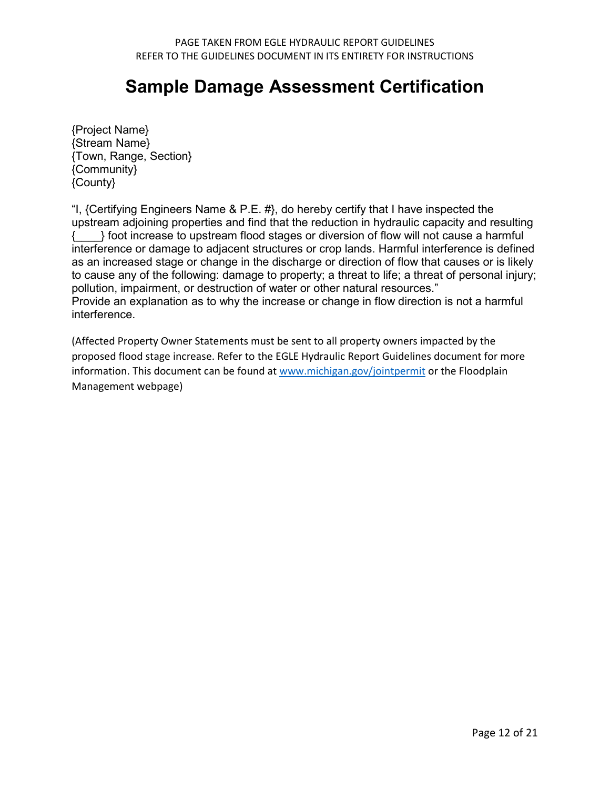## **Sample Damage Assessment Certification**

{Project Name} {Stream Name} {Town, Range, Section} {Community} {County}

"I, {Certifying Engineers Name & P.E.  $#$ }, do hereby certify that I have inspected the upstream adjoining properties and find that the reduction in hydraulic capacity and resulting {  $\{$  \ foot increase to upstream flood stages or diversion of flow will not cause a harmful interference or damage to adjacent structures or crop lands. Harmful interference is defined as an increased stage or change in the discharge or direction of flow that causes or is likely to cause any of the following: damage to property; a threat to life; a threat of personal injury; pollution, impairment, or destruction of water or other natural resources." Provide an explanation as to why the increase or change in flow direction is not a harmful interference.

(Affected Property Owner Statements must be sent to all property owners impacted by the proposed flood stage increase. Refer to the EGLE Hydraulic Report Guidelines document for more information. This document can be found at [www.michigan.gov/jointpermit](http://www.michigan.gov/jointpermit) or the Floodplain Management webpage)